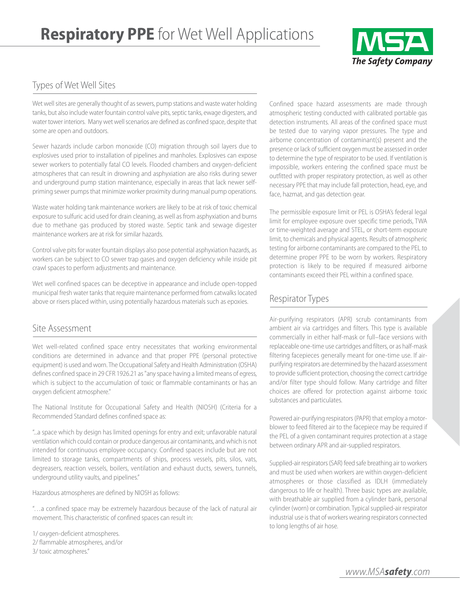

## Types of Wet Well Sites

Wet well sites are generally thought of as sewers, pump stations and waste water holding tanks, but also include water fountain control valve pits, septic tanks, ewage digesters, and water tower interiors. Many wet well scenarios are defined as confined space, despite that some are open and outdoors.

Sewer hazards include carbon monoxide (CO) migration through soil layers due to explosives used prior to installation of pipelines and manholes. Explosives can expose sewer workers to potentially fatal CO levels. Flooded chambers and oxygen-deficient atmospheres that can result in drowning and asphyxiation are also risks during sewer and underground pump station maintenance, especially in areas that lack newer selfpriming sewer pumps that minimize worker proximity during manual pump operations.

Waste water holding tank maintenance workers are likely to be at risk of toxic chemical exposure to sulfuric acid used for drain cleaning, as well as from asphyxiation and burns due to methane gas produced by stored waste. Septic tank and sewage digester maintenance workers are at risk for similar hazards.

Control valve pits for water fountain displays also pose potential asphyxiation hazards, as workers can be subject to CO sewer trap gases and oxygen deficiency while inside pit crawl spaces to perform adjustments and maintenance.

Wet well confined spaces can be deceptive in appearance and include open-topped municipal fresh water tanks that require maintenance performed from catwalks located above or risers placed within, using potentially hazardous materials such as epoxies.

### Site Assessment

Wet well-related confined space entry necessitates that working environmental conditions are determined in advance and that proper PPE (personal protective equipment) is used and worn. The Occupational Safety and Health Administration (OSHA) defines confined space in 29 CFR 1926.21 as "any space having a limited means of egress, which is subject to the accumulation of toxic or flammable contaminants or has an oxygen deficient atmosphere."

The National Institute for Occupational Safety and Health (NIOSH) (Criteria for a Recommended Standard defines confined space as:

"...a space which by design has limited openings for entry and exit; unfavorable natural ventilation which could contain or produce dangerous air contaminants, and which is not intended for continuous employee occupancy. Confined spaces include but are not limited to storage tanks, compartments of ships, process vessels, pits, silos, vats, degreasers, reaction vessels, boilers, ventilation and exhaust ducts, sewers, tunnels, underground utility vaults, and pipelines."

Hazardous atmospheres are defined by NIOSH as follows:

"…a confined space may be extremely hazardous because of the lack of natural air movement. This characteristic of confined spaces can result in:

1/ oxygen-deficient atmospheres. 2/ flammable atmospheres, and/or 3/ toxic atmospheres."

Confined space hazard assessments are made through atmospheric testing conducted with calibrated portable gas detection instruments. All areas of the confined space must be tested due to varying vapor pressures. The type and airborne concentration of contaminant(s) present and the presence or lack of sufficient oxygen must be assessed in order to determine the type of respirator to be used. If ventilation is impossible, workers entering the confined space must be outfitted with proper respiratory protection, as well as other necessary PPE that may include fall protection, head, eye, and face, hazmat, and gas detection gear.

The permissible exposure limit or PEL is OSHA's federal legal limit for employee exposure over specific time periods, TWA or time-weighted average and STEL, or short-term exposure limit, to chemicals and physical agents. Results of atmospheric testing for airborne contaminants are compared to the PEL to determine proper PPE to be worn by workers. Respiratory protection is likely to be required if measured airborne contaminants exceed their PEL within a confined space.

# Respirator Types

Air-purifying respirators (APR) scrub contaminants from ambient air via cartridges and filters. This type is available commercially in either half-mask or full–face versions with replaceable one-time use cartridges and filters, or as half-mask filtering facepieces generally meant for one-time use. If airpurifying respirators are determined by the hazard assessment to provide sufficient protection, choosing the correct cartridge and/or filter type should follow. Many cartridge and filter choices are offered for protection against airborne toxic substances and particulates.

Powered air-purifying respirators (PAPR) that employ a motorblower to feed filtered air to the facepiece may be required if the PEL of a given contaminant requires protection at a stage between ordinary APR and air-supplied respirators.

Supplied-air respirators (SAR) feed safe breathing air to workers and must be used when workers are within oxygen-deficient atmospheres or those classified as IDLH (immediately dangerous to life or health). Three basic types are available, with breathable air supplied from a cylinder bank, personal cylinder (worn) or combination. Typical supplied-air respirator industrial use is that of workers wearing respirators connected to long lengths of air hose.